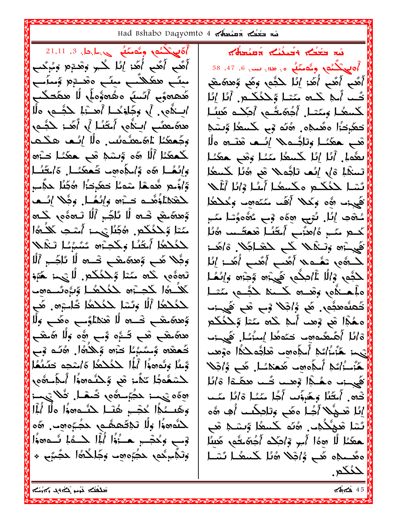## Had Bshabo Dagyomto 4 من بين بين بين Had Bshabo Dagyomto 4

أَوَّلِيْكُمْ وَشَمَعْ بِ مِلْكُمْ مَنْ 21.11 £. أَهُمِ أَهُمِ أَهَٰذٍ إِنَّا كُبِرٍ وَهُدْمٍ وَبُرِكُبٍ مِئِّے مَعَلِّکُے مِنَّے ہِمَدْمِ وَمِنَّے هُهوهوَّى أَنَّسَلُ وهُودُوماً) لَا هِكَمَكْبِ ُ ابْتَدُّى , ﴾ وَجَاوَحُـا ٱهــتَها كَجَّــى ولَّا ههُ هِنَدٍ إِنِـٰأُهِ أَيتَنَا ﴾ أَهَٰـ: لِكُمْ مِنْهُمْ وَجُعطَنَا £اهَىعنُـەسُب ەلْا إِنُـعا ھڭـعا لْكَعِمَدُا أَلَّا هَء وَّىسْدِ مْبِ حِمَدُا حَـزْه وْإِنْهُـا ۞ه وُّامِهُ٥٥ خُـهمَّـا. هَا تَحْلُـا وَّاءُ مِ هُدها سُدنا حَعَرْدُا هُجُنًا حَجَّب لِكَتَمْتَلَذُّهُده صَـٰٓرَت وَاتُعُمَلَ وَهَٰلاَ اتُسْعَد وَّهِهُ هُمْ خَـهِ لَٰا تَاجَٰہِ ٱللَّا تَـهِۥُوںٖ گَـهِ مَتَتَا وَكَحُكُمْ. هُجَنًا يَهِمْ أَسْبَ كَلَّـهُا للمُلْمُل أَلْقُلًا وِكْجِزْهِ مُمُبْرِئًا لَـٰلَمَلا وَجُّلا هَبِ وُههُ هُبِ ثَـــهِ لَا تَاجَـــ ۚ ٱلْا تَحْقَى كَتْ مَنْتَا وَكَحْكُمْ. لَا يْهِمْ هَيْزَة كْلُــهُا كُجــْرُه كْخُلْطُـا وَّبُوصُــوهِــ لِكُلْمُا أَلًا وَتَسْلَمْ لِكُلْمُا ذَٰلَـٰٓمِن مَٰلِ وَحدهُ حْــ دْـــده لَا شَدْمَاوُے مَعْــ وَلَا هدەُ ھُب قَــَّرُه وَّـب رُهُه وَلَّا رَهُ مِحْب تَحْمَدُه وُسَنَبْهُمْ حَزْهِ وَلِلذَّهَا. هُنُـه وْب وَّسُأْ وَثَـ90\$ أَبَاْ لِـكُـلِـ2\$ هُ/مْجِـ2 حَنَّىنُـ2\$ َكْشَعُوجُا تَكُمْ: ثَبِي وَكَنُوهُوا أَكْلِمَ وَهُور تَسْرَرَ اللهُ . لَمَشْتُمْ رِهِقُمْ بِمَثْلِ مَنْ مِنْ هَفْعَ وهَسِنُجُل حُجْبٍ هُنْسا حَنَّـهِ وَوُلَ وَلَا أَبْلَا وْبٍ وِكُجْبٍ هِـنُوَٰٓا ٱٰٓٓاْلِ كَـٰهٗا لَـُـهِ وَاٰوَٰٓا وَلَـٰٓٱبِبِنَّـٰهِ حَجَّہُوہِ۔ وَجَالَحُہُۢا حَجَّـٰہِٗ۔ ٭

Khrina Kilisa Kita ni أَوْلِيَكْتُمْ وَشُمَعَّلُ مِ هَلا. نسب 6. 47. 58 أَهُبِ أَهَّبِ أَهُرْ إِنَّا لِكُمَّهِ وَهُبِ وُهْدَهُ هُمْ تَحَبُّ أَنَّكُمْ كُنْ مَحْتَمَا وَجَنْحُكُنَّ أَنَّ إِنَّا إِنَّا لَّكْسِعُط وَمِنْسَاءٍ أَجُرَّهُ مِثْنَى أَصَلَّكَ هَٰلِنُظْ تَتَكَبِرْتُوا مَعْتَكُمْهِ. شَكَّدَ فِي كَتَسْعَلُ وَيَسْتِدِ تَنب حَمَّنُـا وَتَاجَــٰه )ِنُــف تَعْنَــٰهِ وَلَٰا بَعْداً. أَمَّا إِنَّا لَكْسِعًا مِّمَـّا وَهْبِ بِعَعَيْـا تَسْكُلُمْ وَلَى إِنَّفَ تَاجُّمَكُمْ هُوَ هُنُا لَكُسْعُا ئشا خنُكْم مكْسِعًا أَسُا وْابْا أَخْلَا تَصِّينِ ۞ه وكَلا أَتَفَ مَنْهُ۞ب وَكُلاهُ ـُـُـُوَبُ إِيُلْ نُوْبٍ وَوَهُ ۚ وَبِ ـُوَّهُوَمُـٰلٌ مُنْبِرِ كَنْتُمْ مُنْشِ ذَاهَبَّى أَيْثَلُنَّا شَعْفَسْتَ شَالَا فَي آه وَتَنْمَلاً لَمْسٍ لِمَشَائِلاً. وْاهْدَ لِهُ مَعْدِمٍ أَهُبِ أَهْبِ أَهْدَ إِمَّا لَّحْقِي وْالْمَا أَاحِكُمْ فَيْءَهِ وَجَرْهِ وِإِنْعُا وأعندو بكنك كنسنا للأسمى منتسل تُحشُعثُم، هُم وُاجْلا وْبِ هْي فَيِ نَبْ ەھْبْرا شى ۋەد أىم كە مىدا ۋىلىگىم ةَ اللَّهُ أَهْبَعُنُدوهَا فَسَوْهُمْ إِسْتُهْلًا. فَهَيْ نَفْ يْهِمز هَّنُوزُكُمْ أَجْوَهِ وَاجْوَجْعَلْكُمَ وَوْهَب هَّنْدُاْكُمْ أَحْكَمِهِ هَعْمَدُ لِ هَي وُاجْلا فَي : مصُبْرًا وَهـــ تُـــ همَّــْ أَمُّلُ |خْتَمْ. أَمْثَلُلْ وَهُبَوْكَ أَجُلْ مَنْنَا ةَاللَّا مَنْت إِبُلْا شَـٰهَيْلا أُجُـا هِ هَٰـ وَتَاحِكُـب أَفِ هُه ،<br>مَا تَسْلَمْ شَدِيْكُمْب ِ ، مُنَه لِكَسِعُلْ وَيَسْبِ مَنِي هَمَّنَا لَا هِءَا أَجِرٍ وْاحَكُمْ أَجُهَ مَثْمٍ مَّسَا ەھَــىمە ھَــ وُ/جْلا ھُلَّا كَــْىعُــا تَـْتَــا <u>ے دُگور</u>

تلنابه بالمتلكم سأم تلفظة

 $\mathcal{A}$   $\mathcal{A}$   $\mathcal{A}$   $\mathcal{A}$   $\mathcal{A}$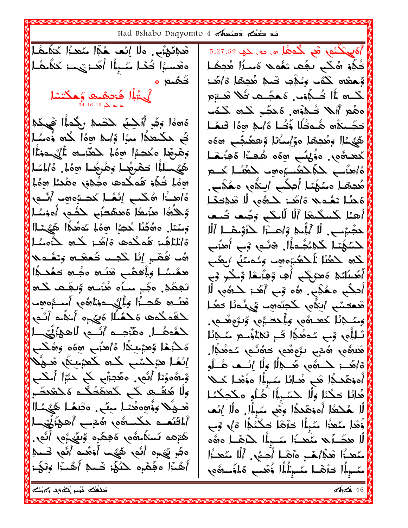## ad Bshabo Daqyomto 4 مَلْمَعْلَمَ Had Bshabo Daqyomto

هْجَانَهْبَعِ. وَلَا إِنُمَا هُجْلَ سَعْدُا خَذَمَهُا هَ مَسْرٌ الْمُبِيدِ الْمُسْتَمَاسَ مِنْ الْمُسْتَمَامَ <del>َ</del>حُھُىم ھ أَيْذَا فَرْحَقِّتُ وَحَكَّتْمَا

كَاهِهَا وَجَرِ ٱلْكِنَّى لِكَمِيرِ رَبُّكُماً الْهَيْكِمِ تُم حكْتَعَجًا مِبْرًا وُمُجْ 30 أَكْتُ وُّءِمُـا وَهْوِهْدِا مَحْجِبُرا هِهُمْ لِحَمّْدْمِهِ غَلَّائِكِمُوْمَاً ا هَيُمالِمُ! حَصْرَهُما وَهُرِهُما هِهُ!. هُ/اسْرُ هِهُمْ خُلُوْ قُمِحُمِهِ مِجْهِفٍ مِعُمْدُ هِهُمْ ةُاهِدًا شَكْبِ إِنْعُمَا كَجِبَرُهِ مِنْ أَنْسَى وَكِلاُهُا هزَعفُل هُمهُدَّبٍ كَجُمٍ أُوضُـلُ وَمِنْتَا. وَهُجَمًا خُجِزًا وَوَٰٓءًا عَوْضُوَا هَيُسَالَ ة/لمَلْمُ: فَمِكْمِعِ ةَ/هُـ: كُـْ هَدْوَمِـُـا هُ- قُمْحٍ إِنَّا كَجِبَ خَمْعَتِهِ وَيَعُـمِـلا همَّسُا وَأَعْقَبَ شَنُـْهِ هَذُـُهِ حَمُّدَـٰہِۖا تَقِقَةٍ. وَجُبِ سِلَو هُنْسُرُ وَيَقِيمَ لَكُلُو هَنُــه هَجــُزُا وِلْمُ يَــوزَاهُم أَستَوْهِ مِ لمَقْدِكُدهِ مَكْمُلًا هَيْجِرِهِ أَنكُمُ أَنَّفَ لحَقُومُــا. وهُوَجـــو أُنُـــو لَأَهوَيَٰنُ فَيَـــا هَكَبْهَا وُهِبُبِيدًا هُ/هنّب هِهُه وهُكْب إِنْعُا مِبَكْسًى كُلُّهِ كَعِبْنِيَكِ مَحِيْلًا وَّىرَةُوءُنَا أَنُّقٍ. وَهُدِرَّاجٍ ۖ كُلِّ حَبَّرًا أَمَكَنِّ وَلَا هَقَــمَ كَــح كَــمْهُـَكُــم هَـكَـمْدَكَــبِ تَعَــوُلًا وَوُّوهِ مُثَــل مِنًــى وَجَعَـط هَيُــُـال أَبْقَنَعَــم حَكَـــةُ مِ هُمْ عَــمِّنْ فَيْ الْحَمْزَيْنَ كَّرْهِمْ نَسْكُمْ هُمْ هُجْمُ وَ وَبَيْجُودٍ أَنُّوبٍ. بُمَسَّمَ رِمَا أَنَّهَا كُنَّهَا أَوْهُدَ أَنَّهَا شَمَّعَ أَهْنَا وفَهْرِه حَلُوْ: خَــم أَهُــٰٓا وَلَوْـٰ:

 $\sqrt{6}$ َّكُلُوْ هُكُم بِكُم تَغُمِي مُنْ الْمُجَهَّا أَؤَحْشُرُهُ لَكُمًا وَخُذَّبَ ثَمِيمٍ هُجِشًا 16هَـٰ: لْكُلُّهُ مَّا تُكْبُوْبٌ وَهَجَّـتَ ثَلَا شَـْرُمْ ههُمْ أَلَمْ خُلِّؤُهُ. هُدَجُمْ كُلُّهُ كَلْمُتَ حَصَّــٰدُاه هُــٰدَٰدُلا ذُنُــا هُ/مِ هوهُ! فَعمُـا هَيُّمَاا وِهُجِعًا هَوَاِسْتُهَا وُهِعَمَّكَ ۞ كَعْدَقُوبَ. وَذُكِنَّبَ وَهُوَ هُجَـٰٓ; وَقُنُـمْـا ةُاهنَّبِ لِلْمُلْعَفِّيَّةِ وَهِ لَلْعُفُلِ كَسْمَ هُجِهَا مِنْهُمْا أُحِكْبِ اتِكُورِ مِعْكِبٍ. هَجْبًا يَعْدِيهِ وَاهَدِ حَدِيمَى لَا هُجْدَجْهَا أُهنُا كَسكُنْقَا ٱلْلهُ لَلْكُمْ وَجُّنِفَ شُنِفَ حجَّبَب, لَا أَلَمْكِ وَاحِسْرَا كَأَوَّحْسَا أَلَّا لْمَنْهُمَا كَلِمُثْمَلًا. هَنُم فِي أَهْبَ لَاه لِمَعْمًا لَمَلْكَبُوهِم وَشَمِمَهُ رُبِعَكُم أَهُـْتُلَبُّمْ هَمْتَىٰٓكَبِ أَبُّ وَجَنُّـهَا وَّـكُـرِ وَبِ أُهِكُمْ مَعُلَمِمْ , شُه فْهِ أَهَدْ لَحْشُورٍ لَلْ الْمُعَالَمِ مُعَامِنِهِ مِنْجَمَّةٍ مِنْصَمَّعَةٍ مُنْقَصَّةٍ وَسُمِيْنَا كَعْدِرُهُ وَالْمُحَدِّرُهِ وَتَوْعَ هُدِهِ. تَلِلُوں وَے حَوهُدًا ثَمِ تَمْلَؤُسُو مَحْدَنًا هَدهُ مِ مُمْتِي سَوَهُو مِهْمَةٍ مِهْمَدٍ }. ةَاهَـــز كـــوَّى هَـــجلًا وِلًا إِنَـــم هُــلُو أُهوَهَٰدِجًا هُبِ هُـائًا مَـٰبِبًٰا هوَٰهَـا كَــلاً هُالُا حَكْنَا وِلًا حَسَّبِهُ الْمَـلَوِ مكْجِكْـُـا لًا هُكْمُا أُدْوَمَُكِمًا وَقِّعِ مَبْرِبًٰا ۖ دِلًا إِنْف وُهْدا مَكْمُرَا مَبْرِباًا حَرْهَا حَكْتُكِما 16 وْب لًا مجَارَ مَعَدُا مَبْلًا حَرْمَا وَوُو مَعْدُرًا هَجْابُهُـِ وْآَهْـا أُجِسُى أَلَّا مَعْدُرًا مَنْـبِهُۢا حَآهَـا مَـٰبِنُٰہُۢا وُهْبِ هَٰاؤُـــوُّی

حْلُفُلُهُ مَرْمَوْ بِمُهْدَ وَكُلُوهُمْ مَنْ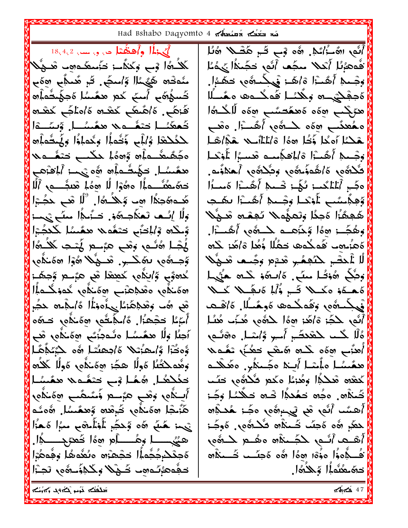## ad Bshabo Daqyomto 4 كَتْتُ مَعْتُمُ Had Bshabo Daqyomto

 $18,4,2$ ,  $\ldots$ ,  $\circ$ ,  $\circ$   $\mathbb{R}$   $\bullet$   $\circ$   $\mathbb{R}$ كْلَـٰدُهُا وْبِ وَكَنْدُــز تَنۡسفَــٰدِهِــ تَعۡــِهُٰلا مَنْدَتُهُ هَيُّمُاا وَٱستُبِ. ثُمِ مُعطِّبِ هِوَبِ تَصَنُّوهُم أَسَمٌ كَتَرَ هَـمُـسُلَ هُجَهُـتُـمَلُّه ْفَرْهَى ۚ هُ اهْلَعَى كَعْدُ ﴾ هُ اهْلُجَى كَعْدُ ه كَعِفْكُمْ احْتَغْسُمْهُ هِمُسُمْسَلَ وَسَمْسَةَلْ ِ لِكُلْحَدًا وُ*آٰأ*َبِ وَُخُم*َأ*ًا وِكُماوُّا وَلَمِخُمانُ وَ مَشَعْسِفُ مِلْمَ وَمَعَهُمْ مَكْسَبٍ حَتَمَّــمَــد همَسُل حَمُّدَّةٌ وَهُ مَلَّدَ مَنْ السُّمَّةِ. حَدَّمَتْ مَالِ اللَّهُ مِنْ أَلْمَا مَعْ الْمَسْبَعِينَ أَلْلَا هُــوهُجكا هِـ وُلِكُــهَا. ۚ لَا شَــحِــُــْمِ ا وِلًا إِنَّــم تَعَكَّاجِــرَةَ ۚ. حَــزَّــكِلًا مِنَّــحٍ يَجِـــز وَّكْلَاه وْالْمَتَوِّجْ حَتَمُّدَيْلا هَمَّسُلْ كَلَاجُمْ ا لُجْلِ هُنَّــمِ وَهْـــمِ لَهُــمِ لَكُــهُۚا وَجِدةُهِ بِهَكْسِرٍ. شَــؤُلا هُوْا ههَنفُهِ لُدەۋَبِ وُابْدُهِ كَعِنْدَا هُي هَزُسُمْ وُحِكَّ: المصنفه بولهنوه ستمهمه ولمنفع بَصْه هُمَاهُ أَنْهُمْ مِنْ الْمُؤْمَّلَ مَنْ مِنْ مِنْ مِنْ مِنْ أَيَّنْا حَجْهَٰۥًا. ةُالْجُنَّفَ وَةَنْفُو حَدَّةَ أَجْلًا وِلًّا هَـمُّـنُـل دَنُـدَانُبُ ۞مَـٰذُوب هُــع وُّوَخُرًا وُّا هُرُسْلاً وَاحِهِنُنَا هُوَ كَبِرَجِّهُمَا وَهُدَكْتُنَا دُولًا هِجَا ۞مَنْذُوبٍ وَوَلَّا لَكُلُّهِ تَتَلِّلُهُا, شُمُّا ٱلِّى تَتَمُّـهَلَا مَمَّسُل أَبِنَدُهِ وَهْبِ هَزْسِطٍ وَمُنْمَضٍ وَهَنَدُهِ هَّنُبْدَأَ «هَٰنَكُمْ» ثُبِرْهُه وَهُمُسُل «هُمْنُه اَيْمَةَ اَبِّدَ وَهُدَيَّةٍ يُكْتَبُ هُمْ فَقَدَّ مَنْ َهُجِدْحَ جُجُملًا حَجْجَرْ هَ مُعُدَّهًا وَجُّدَكُمْ ا حَقُّوهُ رُمُوت حَكِّلًا وَكُلَّهُ وَحُوَّةً وَ اللَّهِ وَحَبَّرًا

أَلَّهِ الأَسْأَامُلُمْ. فَه فِي ظَي هَضْلا الْأَمَّارِ أَهُومِّ الْمَحْمَدِ مِثَمَّةٍ أَنَّهَا حَجَمَةً مِنَّاسًا بِّهِمَا الْمَحْمَدِينَ وَجْعِظِ أَهْبَاْ وَاهَـٰزِ فَيٰكُــوهُو حَطَّـُرًا. هُجِفْحَيْ مِي وَجِعْنَا فَوَجَدُ وَهُمُسَلَّا هْرَبْكُمْ وَهُوَ وَهُدَمَّمَى وَوَوَهُ لَا كُلُّدُوا معُعنَبِ وَهُم لِمَـــوُّمِ أَهُمــْزَا. مِعْب هَكْمُا أُهْدًا ذُخُلَ هِهُ! وْأَمْلَأْسِي هَجْرُهُكُمْ َوَجَــدِمْ أَهُـــْزَا ةَالِمَّقِيمَ مَسْــرَا لِأَوْتَحِــا ثَلاثُه، هَ/شُهزُمثُه، وِئِلاثُه، أهلازُمه. وجِّمِ ٱلْمَلْكُمِ: نُهُـ: خَـمِهِ أَهْمِــْٓ;ا وَمِــرَا وَّهِدَّمسُبِ لِّأَوْتَسَا وَجَسِيا أَهْسَرَا بِمَصْبَ |هَجِعًا وَجِدًا وَتَعِيُّوهَا يَجِعُـْهِ شَـٰهَا اللَّهَـٰهَ أَوْهُجُــ; هِهُا وَّحَزُهـــهِ حَـــوَّهِ أَهْــــزَا. أةهُنصت فَوحُدها حَقُلًا وُهُلْ وَاهُمْ حَكْمَ لَّا غُحصَّہِ حَنَّھِھُہِ مَّـْہِم وَجَّــم مَّــؤَلَا وَهَبُّلُ هُوْتُنَا سَبِّ. هُ/نَهُوْ كُنْ هُزُيْنَا كَاهِدَهُ; مَكْلًا كُبِيرٍ ذُلُما كَاللَّهَا كَلْمَا أَفْهَلِكُمْ وَمَعْدُدُهُ وَهِمْسُلًا. وَأَقْسَمَهُ أَلَّهِ كَجَّزَ ةَاهَٰزَ وَهَٰا كَلَّهُو، هُـَّبَ هُنُـا ەُلَّا كُــْـَـَ كَـْقَدَكُـَـْمِ أُسِيرِ وُّاَسْتَـلْ وَهُنَّـوَ أَهْنَى 500 كَلُّهُ 50 مَنْ حَقُلَ عَقْدَهُ همَّسُا ملَّسْا أَبِنا مجَـنأبر. معَلَّــه كَنْفُرُه مْكَلَّا وَهُٰذِمًا مَكْمٍ فَكُلُّهُمٍ حَلَّت ضَنأَه. هجُه حَعُداً ضَه حَدَّثَا وَجَـٰ; مَهْمَمْ أَشَمْ مِيْ بِهِيْ مِنْ مِمْنَا مِنْدِيْمَ لمَعْبِرِ هُ٥ هُجِيِّ شَــْمْ19 هُـْــوُهُ٢. هُوجُــ; أَهْــم أَنَــم حكَـــنةُ ه معُــع حـــةُ م َقُــِدُووُا وَوُوْا هِوْا هُو وَجِئَــبِ خَــِـبِدْهِ |مَمَّمُثُم) فَكُمُّا.

تحلفكم لمراشط بابه تحفظ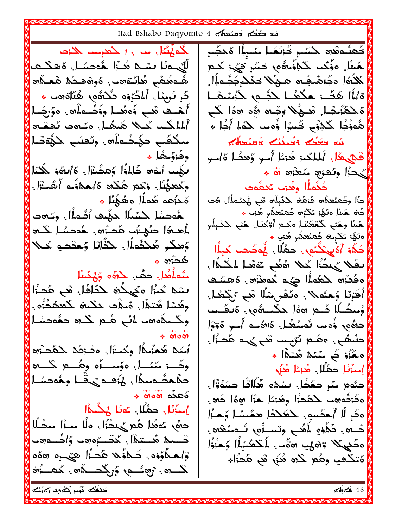ad Bshabo Daqyomto 4 ملحله Had Bshabo Daqyomto 4 لَّكُمْ يُمَكِّلُ. مد . المحصومية للكنوى |تُحسُّـه&ہ حمشہ تُّرْتُهُـا مَنْـہِٱ ٱمْحَجَّـہِ لَّهُ حَمَّا بِشَيْءَ هُوَجَاءً هُوَجَسَاً. وَهِكْتُمَا هَمِنُا وَوَّكَبَ كَلِجُوَّمِيُّونَ صَنْبِيَ فَيَ جَمَعِ كَلاَهُا هجُرهَّىفِهِ عهكَلا حَكَدْجُجُـهلَا. هُـهمُعمًــ هُـالُــٰة مــ. هُو هُـعــهُمْ هُـعــهُ م ة/أَا هَخَـ: حكْعُـا حدَّــهِ حَنْمُـهْـا صِّ نُرِبُما. ٱلمُكَرِّوْهِ تُكْلُّهُم، هُلَّاةهف \* هَ كَمَّنْبِشْلِ مَعْيَكٌ وَشِيهِ وَهُو هُوَا لَكَنِ أَهْبِ قَبِ وَوَهُمَا وَوَُهُبَهُ وَلَا وَدَارِكُمْ أَنْ يَعْرَضُ أَلْمَلَكُتَ كَتْلًا هُبْشًا. وَكَنْهُتْ تُعْقَبُهِ هُوَذُكِمْ كَجْوْبٍ خَسْرًا وُّەبب كَتْمَا أُجُلُّ وَ سكْفَبِ حَهُنُدَاُه ِ. ونُعْنَبِ حَثْمَتْكَمْ بالمستحار المستور المحارب المتحم وفَزْدَهُا \* قْتَلِيْجُل: ٱلْمَلَّكُمْ: هُٰٓئِنَّا ٱسو وَّهْشًا هَاۢسو ىكْت آتەھ كْلْلُوْْا وَهَشَنْزَا. ەُلْتەُو تْلْكْتْل حيدًا وتُعتوه مَعْنَاه ٢ وكعلاُمُلُا. وْكُمْ هَٰكُمْ هَا هَاهُمْ وَمَا أَهْتَرَا. كُثْمَلُّا وهُنِي مُحَقَّدت هُجَاهِم هُداُل مِعُهُّلًا \* دُا وكَعنُعكَلاه فَزِعُرَه حَكَرِلُه مَّى يُحَنَّماًا. 5َت دُهْ هُنا هَنَهُ: عُكْرُه كَعَنْعَدُم هُٰ: • هُوصِمُل كَمُبْلًا حَجَّبِهِ أَضُولًا!. وَعُـْ10 هَمُا وهَبْ كَعْكَسْا هَدُمْ أَوْخُدَا. هَبْ حَدَّبْلُو أهدهُ احبُهْتُو هُجِّزُو . هُوجِسًا كُلُو ەڭكە ئىخامە كەئىمەگىر ھەب ھ وَهكَّر هَكْثُماً!. كَثَّانًا وَحَتَّدهِ حَكَّ ثُمَّوْ أَوَّلِيَكْتُمِ . حَمُّلًا . هُدَّسَ كَبِمُّا း တည်စိ الْمَكْمَا لَكَمْ رَبُّهُ الْكُمْ رَبُّهَا لَكُمْ إِنَّكُمْ لَهُمْ الْكُمْرَ الْمُعَامَّ مثَملُهُا. حقٌّ. حصَّه وَلِحَْسًا مَفْتَرْهِ لِلْعَمْلَ الْمِكْمُ الْمَعْصُرُونَ وَالْمَعْدَ ىشك گىزُا ەڭچىڭخە خدَّاھُا. ھَج ھَدزُا أُفَّزِنَا وَحِثَمِيْلٍ وَتَفْرِيشًا هُجِ وَكِنْعَا. وِهُسْا هُتِمْا. هُـمْف حَكْيَة كَعْتَقَدُّو. وُسطُلًا ضُـع هِءُا حَكْسُوُّهِ. هُنفَــت وكَـــدأه٥ما امُـــع مُـــع هــــــم حـمُّـــمَـــا دەۋە دۇەمە ئەمئىگا. كالۇمە آمىر كۆۋا  $\cdot$  000 ٱمَكِم هُعِنُكُما وِكُمِنْزَا. هِدْزَكُمْ كَمَكْرَوه ﴾ ٥ هُزُو کُے مَمَّلا هُتِدًا ﴾ وكُمْ مَنْسَلَ دَوَّمْسِلُه وهُسْمَ كَلْمِهِ ﴿ إِسْزَٰنَا حِمَٰلًا. هُٰٓئِنَا هُنَّى حدَّــمشَــوتِ صــه بْـرِّ مَــه مَــوتِ مِــوتِ مِــوتِ مِــوتِ م حثُوم مَّرٍ حَمَّجًا. بشكو مَّكَلاَثَا حِشَوُوَّا.  $\bullet$  000  $\triangle$ 00 وَدَٰزَهُومِ لِلْكُحُرُ وَهُٰزِيُلُ هَٰزَا وَوَا دُرُو . إِسْرُنُا. حِمُلًا. عَمْل لِحُمْلًا وَكُرِ لَا أَحْكَسِهِ. كَعَكْكُمْ هِمُسُلْ وُحِبُّلْ للْـصِّد الْمِـد الْمَـدِينَ مِنْهَا مَعْمَدٍ رَضَمَـد تَـــــره . ضَكَّوْهِ ۖ لَمُحْــــم وتَــســـرُه و الْـــم مُحْد ءكَّدِيكا وْهْلِي هِقْبْ. لِمُكْتَمَبُرُاْ وَحَزُوْا وْامْكُوُوْهِ. كَكُوُلا هُدَأْ هِيْ وَهُهُهِ |ةتكـْعب وهُم كَله هُنَّه هُع هَٰدُاء ك من من الله على وَرِكْحكُمْ وَ عَلَيْهِ مَنْ مَنْ مَنْ تَحْلُقُكُمْ مُوَّمِرٍ بِمَاجَةٍ بِمَاهَمَكُمْ  $\kappa$ qi $\kappa$ 48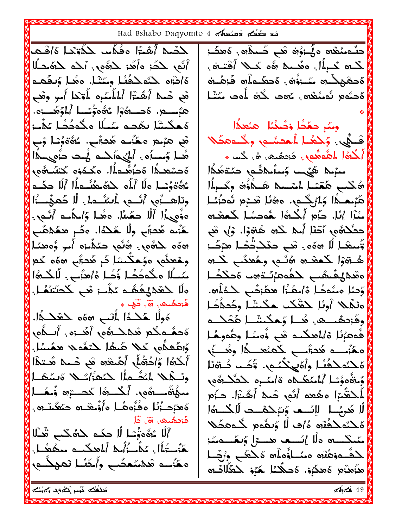Had Bshabo Daqyomto 4 مَسْتَهْدَهُ Had Bshabo Daqyomto 4 لِحْصَدِ أَهْنَزَا وَفَكَّب لِلْمُرْتَبِ وَأَوْصَدَ  $\overrightarrow{a}$ حَسَّمَىٰهُ $\overrightarrow{a}$ و أَمْوَى مَنْ مَالِهِ مَعْ مَدَّمَ أَنُّهِ كُتُمْ هُأَهُدْ كُنُّهِ وَرَبُّكُمْ كَلاَمُحِلَّل كُمْ كُمِيلًا. وهُمكُمْ وهُو كُمْلًا أُقْتُبُو. ةَ احْزَاه حْتَمْحْهُنُـلْ وِمَتْنْـلْ. وهُـلْ وُبِـهُمـم ەَحقىمىلە مَىـْزۇق ، ەَحمَــەلُم ھَرْمُــف هْمِ شَمامٌ أَهَّنْزَا ٱلْمُلِّمَرِهِ لَمُوْتَدَا أَسِرٍ وقْبِ هُحثُوم نُومُعْدُهِ . مُهجد لَحْزَه لِمُوت مَنْتُم هِ مِــــم. هَـدهُوْا مُهُوتُهِ الْمُؤْمَدِهِ. هَ مَكْسْلَا بِمَجْدِ مُحَبًّا مِكْوَجُحًا عَذَبَ . ومَمْ حَقَٰحًا وَحُبْحُنَا ۖ عَنْعَجَا ا هْمِ هَبُـم مَعَّنُــم هُدَانُــم. مُّةَةوُسًا وَبِ قَبِيُّ. وَحَقُلُ أَحْمَشُوا وِكُنْدَهَمْ هُـــا وَمــــاَه . ٱلْمُـهَــاَهِ مِــهُـــه صَـــه مِـــه مِـــه الـــه أَكْلُوا لَمُعْمَلُومٍ. فَرْحَقَتِهِ. \*. كُتْبَ هُحِسْعِـدًا هُجَرْهُـجاًا. مكْجَوْهِ كَتْسُـرْهُم مبُرِيم هَيُبِ، وُسِلَمِدْهِ حَتَّةَهُدًا مُوْدَوُسًا ولَٰا أَلَمْهِ حَيْمَ حَمْلُهُ أَلَّا حَكَــهِ شكب هَقتا لمتسلا شَلْؤُو وكَبِلًا وتَلْعَدُونَ أَنْسَمِ أَسْتُلْمَا . لَا خَعِهْدُرَا هَّزَىمِـدًا وَلَرَجَّـمٍ. وهُلَا قَتْرَمِ نُودُنُــا هِ وَقَوِيمًا أَلَمَّا حَصَّنًا. هِ مُحلٍ وَإِنْجَنَبِ أَنْتَقِيَّ. سُرْا إِبْلِ. جَرَمٍ أَيْحُدُّا هُوجِسًا جُمِعْيُو هَّنُو هَدسَّ ولًا هَكْهَ وَدَّمِ هِمَّلاَصَّـحِ حفَكْتُوم آتَنْلَلْ أَحْدَ كُتُو هُتَوْلَى وَلِي هُج تُسعْدا لُا 1000. مْبِ حَفْدِتُهْدا مِرَجَّد ادَهُ عَنْ اللَّهُ مِنْ اللَّهُ مِنْ أَسْ وُدَهْدًا وهَعِنْدٍ وَوَحِنْتُمَا ثَمِ هَدَأَبٍ 200 كَمِ هُـةوَا لَكَمْعْـهِ هُنُـمٍ وِـمُعْنَبٍ لَكَـهِ مَّىــُلَا مِكْمَحُصًا ذَّصًا هُ/هزَّىـــى. لَّاحُـــْهُا ەھْكلەشىگىپ لەشەھۇئىقەم ەھڭگىل ەللى كىشكى كەن ھى كىمىتىگىل. وَّحْدًا مِنْعَجُـا هُ/بِجُـٰٓأَ هِجَّرْجُبِ ۖ جَـٰهُڵُ19. فَاحِقُتِهِ. ق. تَهِي م هثملا أوئا لمقك مكشا وحُددُحًا دَّولًا ـمَكْدًا ـأُنْبِ 500 كَتْكَـدًا. أوفَرْدهُــــه. هُـــا وُـمكَـنتْـــا هَـْكــــــــــه ەَحصَّــەڭم قىدىمىدەُە ، أَصَــزە . أَيــدُّە، ِ فُوعِرُنَا ةَالْمَكْسَو ثَفِي وُوسُلِ وِهُومِمَا وَاهُدْهُو، كَذَا هُيعًا حَتَمُومَا هُمُسُا. معَّنْہے مَّحتَرہے کُھنُعے اُل وِهُےَ أَكْتُوا وَادْقُلُهِ أَهْتَقَتُ هُو شَمْعًا هُـْتَمَّا ەَ كەَ كەنُىل مِ آەَ بِ كُنُسَى. وَّكَــب كُــ رَوْنَل وتَسْمَلاً لِمُشْمِلًا لِمُتَعَزِّيْتِيْ وَسَمْعًا وُ فَتَوْصَلُ ٱلْمُمَكِّدُهِ وَٱسۡبِهِ كَحَكِّدُوهِ سَهُقُتِ وَهِ. أَكْتُ أَهْلَ كَحَتْرُهِ وَّتَغُطْ لَمَحْقَّدَا وهُعو أَنَّى شَيْءَ أَهُيْتَا. جِزَم هُمْ دَارُلْ وَفُزُوهُا وأَرْفَعْـهِ حَمْعُتْـهِ . لًا هَٰدِجُــا ۖ لِلنُـــٰف وَتَزَحْـٰهَــَـٰتِ لَلْكُـــٰهَا فُرْحِمُتِهِ. قَ. ظَ هَكْتَمْحَدُثُهُ هُ/فَ لَا وُبِعُومٍ كَـُدْمِكُمْ ۖ ٱلْلَّهُ مَوْصًا لَّا حَكَمَ حَدُّكَبٍ شَّـلًا هَّزُكْلُلْ. كَذَّكْرُكُمْ أَلْمَحْكُمُ مُعْقُدِلْ. لحفٌءفمُنْه منُـاؤُهاُه هَلاهُــ ورُجْــا معَّزَىـــم مْحَمَـمْكَـــم وأَمكُــل تعهكُــم، هَزَهْزَمٍ هَمِدٌوَ. هَدِهُنَا هُرَوَ حَمَلَكَ هُ سُنْهُمْ لَهُو بَاسَمَ مَنْ الْمُسْتَمَرَةَ بِمَا يَسْتَمَرُونَ  $49$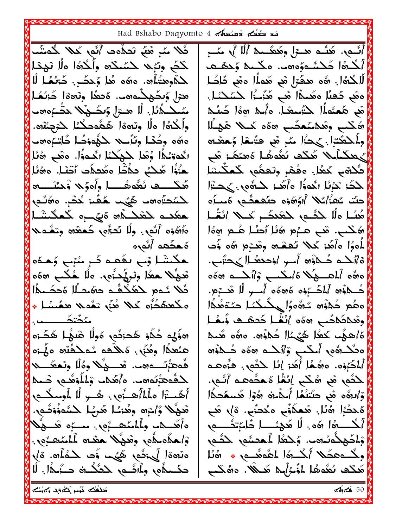Had Bshabo Daqyomto 4 مله Had Bshabo Daqyomto 4 ثُلا مَدِ ثَعَلَم تَعِلُّوه أَنَّهِ كَمِلاً كُمِنَّم أَلَسُم. هَلْسُم هـتول وهُكْسما أَلَمْا أَبِي مَمْسِمِ لكحّ وتزلمه للسَّلَاه وألَّاهُ! هأا تهمْا |أَكْتُهُ| كَكْشُكُوُهُ مِنْ. مَكْتُبُمْ وَجَنْفُتُ لِكَمُوهِنُٱلُهِ. وَهُوَ هُلْ وَجِحَبٍ. ضَرْبُعُـلْ لَٰلَّا الْلَّكْلُوا. ۞ محفَوْل هُم هُماُا وهُم كَاحُـا هرْلِ وَبِكُمْكُومِبٍ. وَجَعُدُ وِتَوَوْا كَرْتُغُـا ەھْع كَعْلَا ەھُىمْْا ھْعِ ھُنَّىـُٰا كَسَّكْـَا. مَمْنَذْخُلًا. لَا هَـْءَلِ وَتَضَّحْنَا حَضَّرُهِ هَت هْمِ هَمْشَهْلُا حَتَّمِىهْمَا. ه/ْمِهْ هِهُا حُسُّهْ وأَحْدُهُا ولَّا وِتَوَدَا هَـقُـوَحَـكْمُا حَوْجِئْتُو. اللَّكُمَا وَتَعْلَمُكُمْ الْمَوْهُ كَمِنْدًا هُمْ الْمَالِ ەھُە وِحُدْا وِنَّەْسِدْ حَـٰثُوْهُ=ا خَاتـَـٰہِ∞۔ وألحقتها بكحرًّا سًرٍ هو عتَّمةًا وَحقده ے مکتمر الصَّفت اللہ علیہ کا اس کے اس کے اس کے اس کے مقابض کی اس کے اس کے اس کے اس کے اس کے اس کے اس کا کام کر<br>اس کے مقابض ائْدەتنىدا ۇقدا خىڭخا ائىدۇا. دقىي شائا هَزُوْا هَكُمْ حَدُّثَا وهُدَدُّت آَتَتْلَ وَهُنَّا |تَكْشَى كَتْدًا. وَقُثْرِ وِتَعَقُّونَ كَلْمَكْتَبَارَ هُكْــــفْ نُغْمِعُـــــا وأُويَٰى وْحَنْبْـــــــة لجَحَرُ بَعْرُمُل الْحَمْوُل هِ/ْهَدِ لِحَدِّهُوبِ بِكِحِنْوَا لِمَنْحَتُوهِ مِنْ مَقْدِ مُرْثَةِ. وَهُنَّمِ حلّت مُعزَّامُكلا أَاوَّهَٰوْهِ حلَّفَهَفُونَ هَمَدَّهِ معَكم حَقَدَ مَن مَيْ مِنْ كَمَكْتَسْهِ هُنُا ولًا حَثَــو حَــْقَدَكَــر حَـــلا إنْهُــا هَ،هُوْهِ أَنَّبِ . وِلَّا نَحِزُّهِ ۖ حَمِعْهِ ۚ وَعْفُمِهِ ۖ هُكُب، مَّى هَبْمِ هُلَّا أَحِبُّا هُـمِ هِهَٰا \* مِكْمَ مَصْحَم لمُوءُا وأَهَدْ كَمَلًا تَحْصُنُ وَهْدْمٍ هُو فُت ـمكَنشَـا وْبَ تفَعـه كَبِرِ مُبْنِبِ وَجَعَةَه ة/ألحــه حُــكمْوْه أُســر اوْححكُــال كِحتَّوب. تَعَهُّلًا هَتُدْ وِتَرَهُّدُوْهِ. وَلَا هُكُب 500 أَمْتُهُ أَلْمَلْكُمْ كَالْمُكْسَبِ وْأَأَكْسَدُ 30\$ه ثَلا نُـهِ مِلْحَكَـٰفُـهِ حَمَّـصُلَّا هُحَصَّـمُّا كُـــدْوْه ٱلْمُكْــَرُوْه هُههُه ٱسبو لَّا هُـــْرِهِ. ەݣﯩﺮﮔﯘ, ﻛﯩﻼ ﻣﯘ, ﺗﯘﻩﻼ ﻣﯘﺳﯩﻠﺎ ﻣ هِ مَمْ هُوَ مُسْتَوَاهِ مُشَارِدَ الْمَحْمَدُ الْمَسْتَوَاتِ أُوهَدْكُدْكَبِ 500 إِنْغُا كُحِشْـ وُحْمَـا مَكْتَكَـــــــب هَذَهُم حُكُمْ هَدَئُمٍ هُولًا هَىهُا هَحَّـزه هُ/هِهُم كَعُلٍّ هَيُمُلِّ حُمْوَّوه. وَهُو مُعَمّ هنُعدَاً وهُنَى وَ اللَّعه شَمطهُنَه وَ يَن ەئكىئە ) كىسى ۋاأىكسە «ەە ئەكمۋە فُهِدَٰٓئُٖكُـــهِ مِنْ. شَــــوُّبُلا وِهْلًا وِنْعِظَـــد أَلْمَكَرَوْهِ. وَهُمُّا أُهُدْ إِنَّا كَثُمْ. فَزُوهِم لحَقَمٍ هُو هُكُمٍ إِنْقُا هَمَقُومِهِ أَنْهِ. لحَقَّمِتَزُنَّهُ مِن أَهْلِم وَلَمَأْوَهُم شَمْلاً عَلَيْهِمْ أَهُـــْ:َا هَلْمُأَهَــزُوبِ. هُـــرِ لَا لْمُوسِكُــمِ وْاللَّهُ مْنِي حَنَّنْهُا أَعِدْمَهُ هُوْا هُمْعَحَدًا تَعَهُّلا وُاءِه ۖ وهُنسًا هُربُـا ۖ حَسُّوٰوْهُـ مِ. [ |ەَحكُرُا سُلُا. شَعَكُفُ مُحَتَّى. 16 شَع ه أَهُـــدَ وأَلمَدُهـــرُه. مسـرُه هَـــوْلا وْلِمَحْدُثُمُوْتٍ وَحِمْدَ الْمَعْشَى حَثَمَى وْاهِدُهِ دِهْدُ الْمَعْدِهِ الْمُسْتَدِينَ. و گـــومكــلا أَكْــــرهُ| اهْـوشــــي \* وَهُـُـل مَّكْف نُعُّمفُا لمُؤْمُرُهُك هَــلًا . هِ هُكْب حكَــدأُهِ, وأَرْضُــهِ, حَـثَكُــرة حــزُـدأَا. لُل تَحْلُقُكُمْ مُوَّمِرٍ بِمَاجَةٍ بِمَاهَمَكُمْ  $x + \frac{1}{2}$  50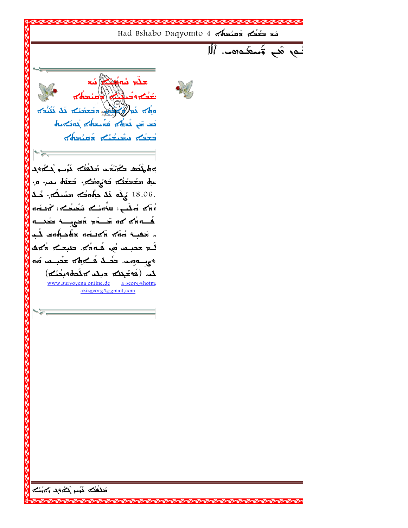Had Bshabo Daqyomto 4 ملحلة بتعنيم بتعنيم نَمِ هَي تَسْعَمُونَ. أَلَمْ <del>ى</del>دىكە ئەۋەپىگە ئە This is there's family is the نه المحدّث المستعلم المستعمل المستعمل Thrion Litin Litt ع الله عليه المسلم المسلم المسلم المسلم المسلم المسلم المسلم المسلم المسلم المسلم المسلم المسلم المس ۰٫<del>۰، بعد الله عن جرح</del>شور خط حرا می است الله می .18.06 يُمُه مَدْ مِهُهْكَ سَمْكُتِ. مُدْ مطْلَعَ الْمَسْتَمَا لَهُ مَتَعَلَّفَ الْمَسْتَمَاءُ الْمُؤْمَرَةُ مكنع محسوحة المتحدة المحاشون المتحدية به عَمِيهِ مَنْ مَنْ مَنْ مَنْ مَا مَا مَا مَعْ مَدْ مَدَّ مَنْ كمحدثه جديبت حذمك ره سبعه س مه معبعة الأمارية كمعت مه مسروع لمد. (هُمْجُلْكُمْ مَلْبِهِ مَرْكَمَهُ مِيْحُنُكُمْ) www.suryoyena-online.de a-georg@hotm azizgeorg5@gmail.com -7 تَمَسُوْمِهِمْ مَوْسِمٍ كَتُوْمِهِمْ مَنْ يَمْتُوَمِّكَمْ